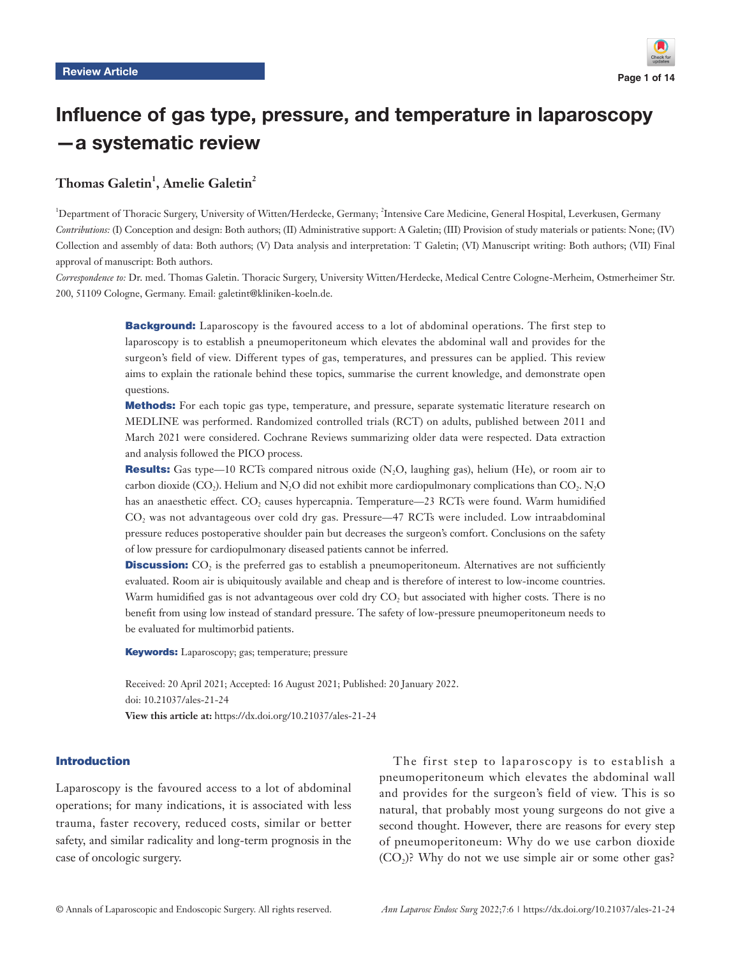

# Influence of gas type, pressure, and temperature in laparoscopy —a systematic review

# $T$ homas Galetin<sup>1</sup>, Amelie Galetin<sup>2</sup>

<sup>1</sup>Department of Thoracic Surgery, University of Witten/Herdecke, Germany; <sup>2</sup>Intensive Care Medicine, General Hospital, Leverkusen, Germany *Contributions:* (I) Conception and design: Both authors; (II) Administrative support: A Galetin; (III) Provision of study materials or patients: None; (IV) Collection and assembly of data: Both authors; (V) Data analysis and interpretation: T Galetin; (VI) Manuscript writing: Both authors; (VII) Final approval of manuscript: Both authors.

*Correspondence to:* Dr. med. Thomas Galetin. Thoracic Surgery, University Witten/Herdecke, Medical Centre Cologne-Merheim, Ostmerheimer Str. 200, 51109 Cologne, Germany. Email: galetint@kliniken-koeln.de.

> **Background:** Laparoscopy is the favoured access to a lot of abdominal operations. The first step to laparoscopy is to establish a pneumoperitoneum which elevates the abdominal wall and provides for the surgeon's field of view. Different types of gas, temperatures, and pressures can be applied. This review aims to explain the rationale behind these topics, summarise the current knowledge, and demonstrate open questions.

> Methods: For each topic gas type, temperature, and pressure, separate systematic literature research on MEDLINE was performed. Randomized controlled trials (RCT) on adults, published between 2011 and March 2021 were considered. Cochrane Reviews summarizing older data were respected. Data extraction and analysis followed the PICO process.

> **Results:** Gas type—10 RCTs compared nitrous oxide  $(N, O$ , laughing gas), helium (He), or room air to carbon dioxide (CO<sub>2</sub>). Helium and N<sub>2</sub>O did not exhibit more cardiopulmonary complications than CO<sub>2</sub>. N<sub>2</sub>O has an anaesthetic effect. CO<sub>2</sub> causes hypercapnia. Temperature—23 RCTs were found. Warm humidified CO2 was not advantageous over cold dry gas. Pressure—47 RCTs were included. Low intraabdominal pressure reduces postoperative shoulder pain but decreases the surgeon's comfort. Conclusions on the safety of low pressure for cardiopulmonary diseased patients cannot be inferred.

> **Discussion:**  $CO<sub>2</sub>$  is the preferred gas to establish a pneumoperitoneum. Alternatives are not sufficiently evaluated. Room air is ubiquitously available and cheap and is therefore of interest to low-income countries. Warm humidified gas is not advantageous over cold dry CO<sub>2</sub> but associated with higher costs. There is no benefit from using low instead of standard pressure. The safety of low-pressure pneumoperitoneum needs to be evaluated for multimorbid patients.

Keywords: Laparoscopy; gas; temperature; pressure

Received: 20 April 2021; Accepted: 16 August 2021; Published: 20 January 2022. doi: 10.21037/ales-21-24 **View this article at:** https://dx.doi.org/10.21037/ales-21-24

# Introduction

Laparoscopy is the favoured access to a lot of abdominal operations; for many indications, it is associated with less trauma, faster recovery, reduced costs, similar or better safety, and similar radicality and long-term prognosis in the case of oncologic surgery.

The first step to laparoscopy is to establish a pneumoperitoneum which elevates the abdominal wall and provides for the surgeon's field of view. This is so natural, that probably most young surgeons do not give a second thought. However, there are reasons for every step of pneumoperitoneum: Why do we use carbon dioxide  $(CO<sub>2</sub>)$ ? Why do not we use simple air or some other gas?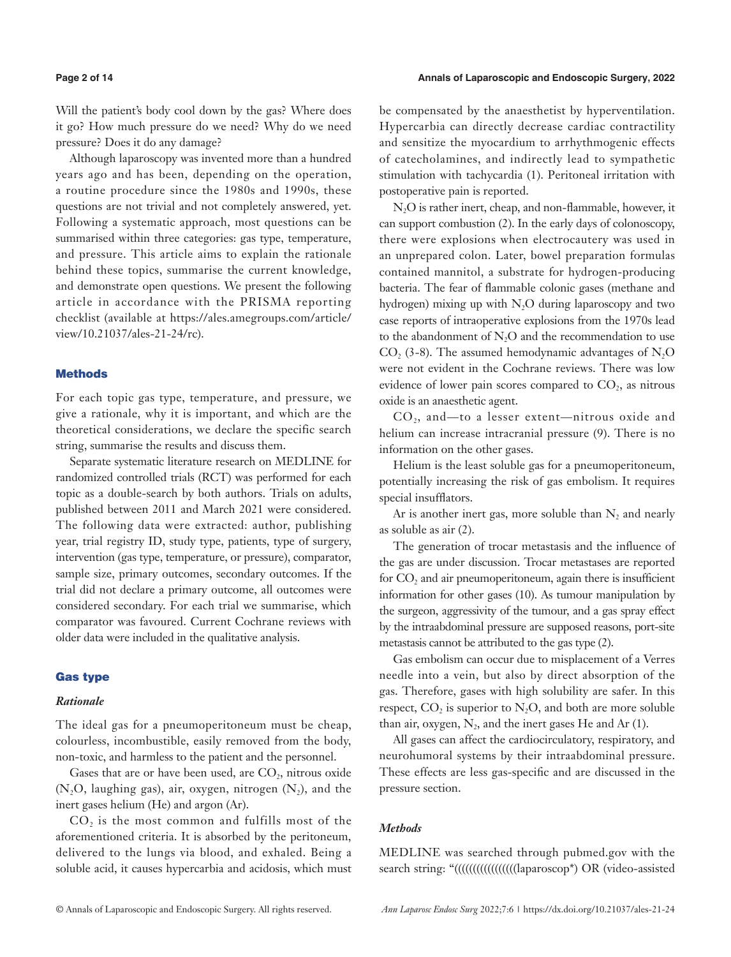Will the patient's body cool down by the gas? Where does it go? How much pressure do we need? Why do we need pressure? Does it do any damage?

Although laparoscopy was invented more than a hundred years ago and has been, depending on the operation, a routine procedure since the 1980s and 1990s, these questions are not trivial and not completely answered, yet. Following a systematic approach, most questions can be summarised within three categories: gas type, temperature, and pressure. This article aims to explain the rationale behind these topics, summarise the current knowledge, and demonstrate open questions. We present the following article in accordance with the PRISMA reporting checklist (available at [https://ales.amegroups.com/article/](https://ales.amegroups.com/article/view/10.21037/ales-21-24/rc) [view/10.21037/ales-21-24/rc\)](https://ales.amegroups.com/article/view/10.21037/ales-21-24/rc).

### **Methods**

For each topic gas type, temperature, and pressure, we give a rationale, why it is important, and which are the theoretical considerations, we declare the specific search string, summarise the results and discuss them.

Separate systematic literature research on MEDLINE for randomized controlled trials (RCT) was performed for each topic as a double-search by both authors. Trials on adults, published between 2011 and March 2021 were considered. The following data were extracted: author, publishing year, trial registry ID, study type, patients, type of surgery, intervention (gas type, temperature, or pressure), comparator, sample size, primary outcomes, secondary outcomes. If the trial did not declare a primary outcome, all outcomes were considered secondary. For each trial we summarise, which comparator was favoured. Current Cochrane reviews with older data were included in the qualitative analysis.

# Gas type

# *Rationale*

The ideal gas for a pneumoperitoneum must be cheap, colourless, incombustible, easily removed from the body, non-toxic, and harmless to the patient and the personnel.

Gases that are or have been used, are  $CO<sub>2</sub>$ , nitrous oxide  $(N_2O,$  laughing gas), air, oxygen, nitrogen  $(N_2)$ , and the inert gases helium (He) and argon (Ar).

CO<sub>2</sub> is the most common and fulfills most of the aforementioned criteria. It is absorbed by the peritoneum, delivered to the lungs via blood, and exhaled. Being a soluble acid, it causes hypercarbia and acidosis, which must

be compensated by the anaesthetist by hyperventilation. Hypercarbia can directly decrease cardiac contractility and sensitize the myocardium to arrhythmogenic effects of catecholamines, and indirectly lead to sympathetic stimulation with tachycardia (1). Peritoneal irritation with postoperative pain is reported.

N2O is rather inert, cheap, and non-flammable, however, it can support combustion (2). In the early days of colonoscopy, there were explosions when electrocautery was used in an unprepared colon. Later, bowel preparation formulas contained mannitol, a substrate for hydrogen-producing bacteria. The fear of flammable colonic gases (methane and hydrogen) mixing up with  $N<sub>2</sub>O$  during laparoscopy and two case reports of intraoperative explosions from the 1970s lead to the abandonment of N<sub>2</sub>O and the recommendation to use  $CO$ , (3-8). The assumed hemodynamic advantages of N<sub>2</sub>O were not evident in the Cochrane reviews. There was low evidence of lower pain scores compared to  $CO<sub>2</sub>$ , as nitrous oxide is an anaesthetic agent.

 $CO<sub>2</sub>$ , and—to a lesser extent—nitrous oxide and helium can increase intracranial pressure (9). There is no information on the other gases.

Helium is the least soluble gas for a pneumoperitoneum, potentially increasing the risk of gas embolism. It requires special insufflators.

Ar is another inert gas, more soluble than  $N_2$  and nearly as soluble as air (2).

The generation of trocar metastasis and the influence of the gas are under discussion. Trocar metastases are reported for  $CO<sub>2</sub>$  and air pneumoperitoneum, again there is insufficient information for other gases (10). As tumour manipulation by the surgeon, aggressivity of the tumour, and a gas spray effect by the intraabdominal pressure are supposed reasons, port-site metastasis cannot be attributed to the gas type (2).

Gas embolism can occur due to misplacement of a Verres needle into a vein, but also by direct absorption of the gas. Therefore, gases with high solubility are safer. In this respect,  $CO_2$  is superior to  $N_2O$ , and both are more soluble than air, oxygen,  $N_2$ , and the inert gases He and Ar (1).

All gases can affect the cardiocirculatory, respiratory, and neurohumoral systems by their intraabdominal pressure. These effects are less gas-specific and are discussed in the pressure section.

### *Methods*

MEDLINE was searched through pubmed.gov with the search string: "((((((((((((((((((((((((((((((()aparoscop\*) OR (video-assisted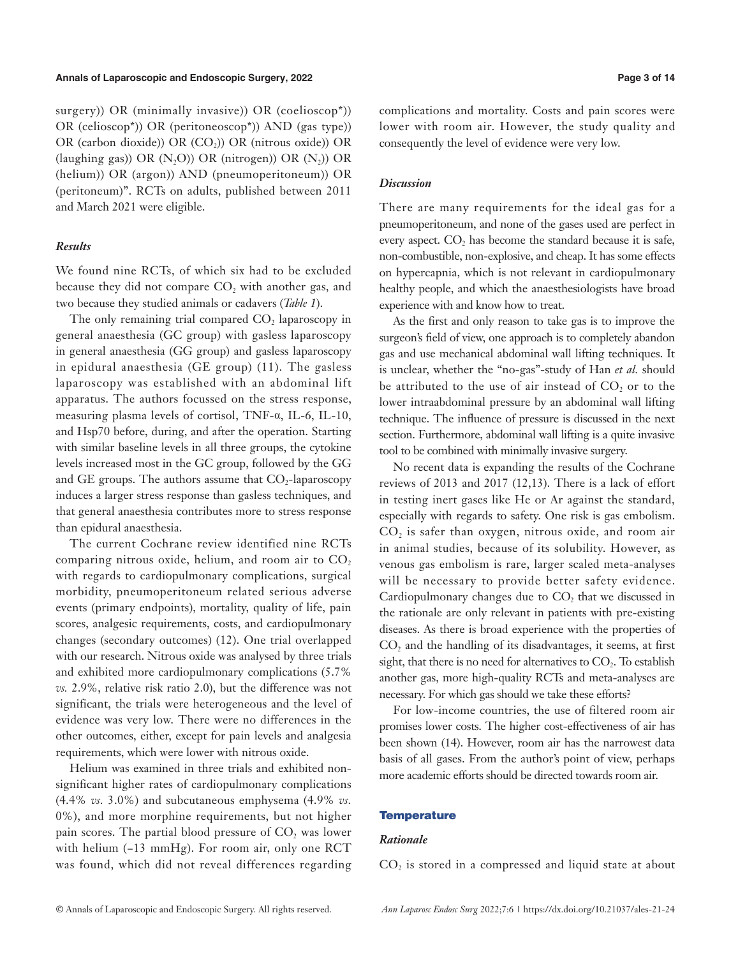surgery)) OR (minimally invasive)) OR (coelioscop\*)) OR (celioscop\*)) OR (peritoneoscop\*)) AND (gas type)) OR (carbon dioxide)) OR (CO<sub>2</sub>)) OR (nitrous oxide)) OR (laughing gas)) OR  $(N_2O)$ ) OR (nitrogen)) OR  $(N_2)$ ) OR (helium)) OR (argon)) AND (pneumoperitoneum)) OR (peritoneum)". RCTs on adults, published between 2011 and March 2021 were eligible.

# *Results*

We found nine RCTs, of which six had to be excluded because they did not compare CO<sub>2</sub> with another gas, and two because they studied animals or cadavers (*Table 1*).

The only remaining trial compared  $CO<sub>2</sub>$  laparoscopy in general anaesthesia (GC group) with gasless laparoscopy in general anaesthesia (GG group) and gasless laparoscopy in epidural anaesthesia (GE group) (11). The gasless laparoscopy was established with an abdominal lift apparatus. The authors focussed on the stress response, measuring plasma levels of cortisol, TNF-α, IL-6, IL-10, and Hsp70 before, during, and after the operation. Starting with similar baseline levels in all three groups, the cytokine levels increased most in the GC group, followed by the GG and GE groups. The authors assume that  $CO$ -laparoscopy induces a larger stress response than gasless techniques, and that general anaesthesia contributes more to stress response than epidural anaesthesia.

The current Cochrane review identified nine RCTs comparing nitrous oxide, helium, and room air to  $CO<sub>2</sub>$ with regards to cardiopulmonary complications, surgical morbidity, pneumoperitoneum related serious adverse events (primary endpoints), mortality, quality of life, pain scores, analgesic requirements, costs, and cardiopulmonary changes (secondary outcomes) (12). One trial overlapped with our research. Nitrous oxide was analysed by three trials and exhibited more cardiopulmonary complications (5.7% *vs.* 2.9%, relative risk ratio 2.0), but the difference was not significant, the trials were heterogeneous and the level of evidence was very low. There were no differences in the other outcomes, either, except for pain levels and analgesia requirements, which were lower with nitrous oxide.

Helium was examined in three trials and exhibited nonsignificant higher rates of cardiopulmonary complications (4.4% *vs.* 3.0%) and subcutaneous emphysema (4.9% *vs.* 0%), and more morphine requirements, but not higher pain scores. The partial blood pressure of  $CO$ , was lower with helium (−13 mmHg). For room air, only one RCT was found, which did not reveal differences regarding complications and mortality. Costs and pain scores were lower with room air. However, the study quality and consequently the level of evidence were very low.

# *Discussion*

There are many requirements for the ideal gas for a pneumoperitoneum, and none of the gases used are perfect in every aspect. CO<sub>2</sub> has become the standard because it is safe, non-combustible, non-explosive, and cheap. It has some effects on hypercapnia, which is not relevant in cardiopulmonary healthy people, and which the anaesthesiologists have broad experience with and know how to treat.

As the first and only reason to take gas is to improve the surgeon's field of view, one approach is to completely abandon gas and use mechanical abdominal wall lifting techniques. It is unclear, whether the "no-gas"-study of Han *et al.* should be attributed to the use of air instead of CO<sub>2</sub> or to the lower intraabdominal pressure by an abdominal wall lifting technique. The influence of pressure is discussed in the next section. Furthermore, abdominal wall lifting is a quite invasive tool to be combined with minimally invasive surgery.

No recent data is expanding the results of the Cochrane reviews of 2013 and 2017 (12,13). There is a lack of effort in testing inert gases like He or Ar against the standard, especially with regards to safety. One risk is gas embolism. CO<sub>2</sub> is safer than oxygen, nitrous oxide, and room air in animal studies, because of its solubility. However, as venous gas embolism is rare, larger scaled meta-analyses will be necessary to provide better safety evidence. Cardiopulmonary changes due to  $CO<sub>2</sub>$  that we discussed in the rationale are only relevant in patients with pre-existing diseases. As there is broad experience with the properties of  $CO<sub>2</sub>$  and the handling of its disadvantages, it seems, at first sight, that there is no need for alternatives to  $CO<sub>2</sub>$ . To establish another gas, more high-quality RCTs and meta-analyses are necessary. For which gas should we take these efforts?

For low-income countries, the use of filtered room air promises lower costs. The higher cost-effectiveness of air has been shown (14). However, room air has the narrowest data basis of all gases. From the author's point of view, perhaps more academic efforts should be directed towards room air.

### **Temperature**

# *Rationale*

 $CO<sub>2</sub>$  is stored in a compressed and liquid state at about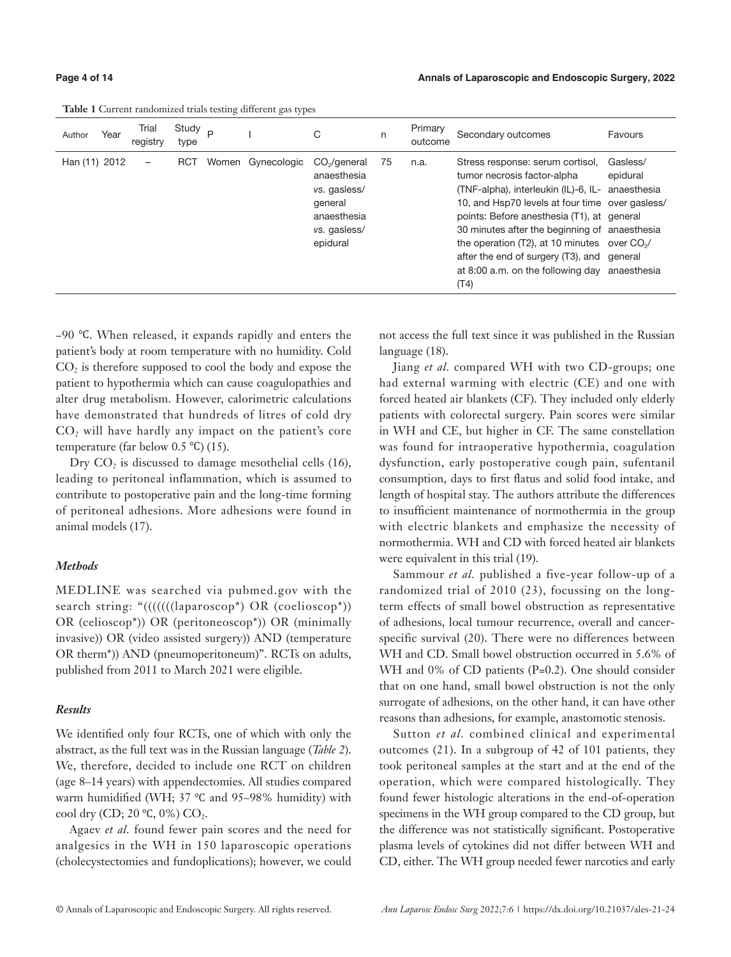|               | <b>Table 1</b> Ourford Fandomized that's testing university gas types |                   |                            |  |                   |                                                                                                               |    |                    |                                                                                                                                                                                                                                                                                                                                                                                                  |                                                               |  |  |  |
|---------------|-----------------------------------------------------------------------|-------------------|----------------------------|--|-------------------|---------------------------------------------------------------------------------------------------------------|----|--------------------|--------------------------------------------------------------------------------------------------------------------------------------------------------------------------------------------------------------------------------------------------------------------------------------------------------------------------------------------------------------------------------------------------|---------------------------------------------------------------|--|--|--|
| Author        | Year                                                                  | Trial<br>registry | Study <sub>P</sub><br>type |  |                   | С                                                                                                             | n  | Primary<br>outcome | Secondary outcomes                                                                                                                                                                                                                                                                                                                                                                               | Favours                                                       |  |  |  |
| Han (11) 2012 |                                                                       | -                 | <b>RCT</b>                 |  | Women Gynecologic | CO <sub>2</sub> /general<br>anaesthesia<br>vs. gasless/<br>general<br>anaesthesia<br>vs. gasless/<br>epidural | 75 | n.a.               | Stress response: serum cortisol.<br>tumor necrosis factor-alpha<br>(TNF-alpha), interleukin (IL)-6, IL-<br>10, and Hsp70 levels at four time over gasless/<br>points: Before anesthesia (T1), at general<br>30 minutes after the beginning of anaesthesia<br>the operation $(T2)$ , at 10 minutes over $CO2/$<br>after the end of surgery (T3), and<br>at 8:00 a.m. on the following day<br>(T4) | Gasless/<br>epidural<br>anaesthesia<br>aeneral<br>anaesthesia |  |  |  |

**Table 1** Current randomized trials testing different gas type

−90 ℃. When released, it expands rapidly and enters the patient's body at room temperature with no humidity. Cold CO<sub>2</sub> is therefore supposed to cool the body and expose the patient to hypothermia which can cause coagulopathies and alter drug metabolism. However, calorimetric calculations have demonstrated that hundreds of litres of cold dry CO<sub>2</sub> will have hardly any impact on the patient's core temperature (far below 0.5 ℃) (15).

Dry  $CO<sub>2</sub>$  is discussed to damage mesothelial cells (16), leading to peritoneal inflammation, which is assumed to contribute to postoperative pain and the long-time forming of peritoneal adhesions. More adhesions were found in animal models (17).

# *Methods*

MEDLINE was searched via pubmed.gov with the search string: "((((((((laparoscop\*) OR (coelioscop\*)) OR (celioscop\*)) OR (peritoneoscop\*)) OR (minimally invasive)) OR (video assisted surgery)) AND (temperature OR therm\*)) AND (pneumoperitoneum)". RCTs on adults, published from 2011 to March 2021 were eligible.

# *Results*

We identified only four RCTs, one of which with only the abstract, as the full text was in the Russian language (*Table 2*). We, therefore, decided to include one RCT on children (age 8–14 years) with appendectomies. All studies compared warm humidified (WH; 37 ℃ and 95–98% humidity) with cool dry (CD; 20 $°C$ , 0%) CO<sub>2</sub>.

Agaev *et al.* found fewer pain scores and the need for analgesics in the WH in 150 laparoscopic operations (cholecystectomies and fundoplications); however, we could

not access the full text since it was published in the Russian language (18).

Jiang *et al.* compared WH with two CD-groups; one had external warming with electric (CE) and one with forced heated air blankets (CF). They included only elderly patients with colorectal surgery. Pain scores were similar in WH and CE, but higher in CF. The same constellation was found for intraoperative hypothermia, coagulation dysfunction, early postoperative cough pain, sufentanil consumption, days to first flatus and solid food intake, and length of hospital stay. The authors attribute the differences to insufficient maintenance of normothermia in the group with electric blankets and emphasize the necessity of normothermia. WH and CD with forced heated air blankets were equivalent in this trial (19).

Sammour *et al.* published a five-year follow-up of a randomized trial of 2010 (23), focussing on the longterm effects of small bowel obstruction as representative of adhesions, local tumour recurrence, overall and cancerspecific survival (20). There were no differences between WH and CD. Small bowel obstruction occurred in 5.6% of WH and 0% of CD patients (P=0.2). One should consider that on one hand, small bowel obstruction is not the only surrogate of adhesions, on the other hand, it can have other reasons than adhesions, for example, anastomotic stenosis.

Sutton *et al.* combined clinical and experimental outcomes (21). In a subgroup of 42 of 101 patients, they took peritoneal samples at the start and at the end of the operation, which were compared histologically. They found fewer histologic alterations in the end-of-operation specimens in the WH group compared to the CD group, but the difference was not statistically significant. Postoperative plasma levels of cytokines did not differ between WH and CD, either. The WH group needed fewer narcotics and early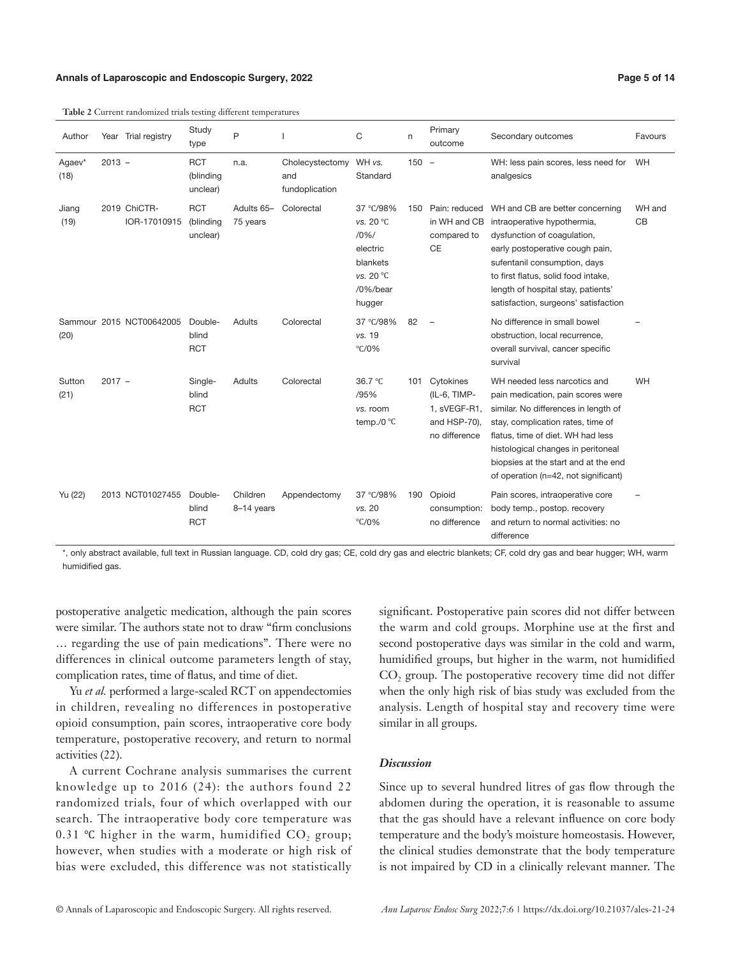# **Annals of Laparoscopic and Endoscopic Surgery, 2022 Page 5 of 14**

|                |          | <b>Table 2</b> Current randomized trials testing different temperatures |                                     |                        |                                          |                                                                                          |     |                                                                            |                                                                                                                                                                                                                                                                                                           |              |
|----------------|----------|-------------------------------------------------------------------------|-------------------------------------|------------------------|------------------------------------------|------------------------------------------------------------------------------------------|-----|----------------------------------------------------------------------------|-----------------------------------------------------------------------------------------------------------------------------------------------------------------------------------------------------------------------------------------------------------------------------------------------------------|--------------|
| Author         |          | Year Trial registry                                                     | Study<br>type                       | P                      |                                          | C                                                                                        | n   | Primary<br>outcome                                                         | Secondary outcomes                                                                                                                                                                                                                                                                                        | Favours      |
| Agaev*<br>(18) | $2013 -$ |                                                                         | <b>RCT</b><br>(blinding<br>unclear) | n.a.                   | Cholecystectomy<br>and<br>fundoplication | WH vs.<br>Standard                                                                       | 150 | $\overline{a}$                                                             | WH: less pain scores, less need for<br>analgesics                                                                                                                                                                                                                                                         | WH           |
| Jiang<br>(19)  |          | 2019 ChiCTR-<br>IOR-17010915                                            | <b>RCT</b><br>(blinding<br>unclear) | Adults 65-<br>75 years | Colorectal                               | 37 °C/98%<br>vs. 20 °C<br>10%<br>electric<br>blankets<br>vs. 20 °C<br>/0%/bear<br>hugger | 150 | Pain: reduced<br>in WH and CB<br>compared to<br><b>CE</b>                  | WH and CB are better concerning<br>intraoperative hypothermia,<br>dysfunction of coaqulation,<br>early postoperative cough pain,<br>sufentanil consumption, days<br>to first flatus, solid food intake,<br>length of hospital stay, patients'<br>satisfaction, surgeons' satisfaction                     | WH and<br>CB |
| (20)           |          | Sammour 2015 NCT00642005                                                | Double-<br>blind<br><b>RCT</b>      | Adults                 | Colorectal                               | 37 °C/98%<br>vs. 19<br>$\degree$ C/0%                                                    | 82  | $\qquad \qquad -$                                                          | No difference in small bowel<br>obstruction, local recurrence,<br>overall survival, cancer specific<br>survival                                                                                                                                                                                           |              |
| Sutton<br>(21) | $2017 -$ |                                                                         | Single-<br>blind<br><b>RCT</b>      | Adults                 | Colorectal                               | 36.7 °C<br>/95%<br>vs. room<br>temp./0 $°C$                                              | 101 | Cytokines<br>(IL-6, TIMP-<br>1, sVEGF-R1,<br>and HSP-70),<br>no difference | WH needed less narcotics and<br>pain medication, pain scores were<br>similar. No differences in length of<br>stay, complication rates, time of<br>flatus, time of diet. WH had less<br>histological changes in peritoneal<br>biopsies at the start and at the end<br>of operation (n=42, not significant) | WH           |
| Yu (22)        |          | 2013 NCT01027455                                                        | Double-<br>blind<br><b>RCT</b>      | Children<br>8-14 years | Appendectomy                             | 37 °C/98%<br>vs. 20<br>$°C$ /0%                                                          | 190 | Opioid<br>consumption:<br>no difference                                    | Pain scores, intraoperative core<br>body temp., postop. recovery<br>and return to normal activities: no<br>difference                                                                                                                                                                                     |              |

**Table 2** Current randomized trials temperatures temperatures temperatures temperatures temperatures temperatures temperatures temperatures temperatures temperatures temperatures temperatures temperatures temperatures temp

\*, only abstract available, full text in Russian language. CD, cold dry gas; CE, cold dry gas and electric blankets; CF, cold dry gas and bear hugger; WH, warm humidified gas.

postoperative analgetic medication, although the pain scores were similar. The authors state not to draw "firm conclusions … regarding the use of pain medications". There were no differences in clinical outcome parameters length of stay, complication rates, time of flatus, and time of diet.

Yu *et al.* performed a large-scaled RCT on appendectomies in children, revealing no differences in postoperative opioid consumption, pain scores, intraoperative core body temperature, postoperative recovery, and return to normal activities (22).

A current Cochrane analysis summarises the current knowledge up to 2016 (24): the authors found 22 randomized trials, four of which overlapped with our search. The intraoperative body core temperature was 0.31 °C higher in the warm, humidified  $CO<sub>2</sub>$  group; however, when studies with a moderate or high risk of bias were excluded, this difference was not statistically significant. Postoperative pain scores did not differ between the warm and cold groups. Morphine use at the first and second postoperative days was similar in the cold and warm, humidified groups, but higher in the warm, not humidified  $CO<sub>2</sub>$  group. The postoperative recovery time did not differ when the only high risk of bias study was excluded from the analysis. Length of hospital stay and recovery time were similar in all groups.

# *Discussion*

Since up to several hundred litres of gas flow through the abdomen during the operation, it is reasonable to assume that the gas should have a relevant influence on core body temperature and the body's moisture homeostasis. However, the clinical studies demonstrate that the body temperature is not impaired by CD in a clinically relevant manner. The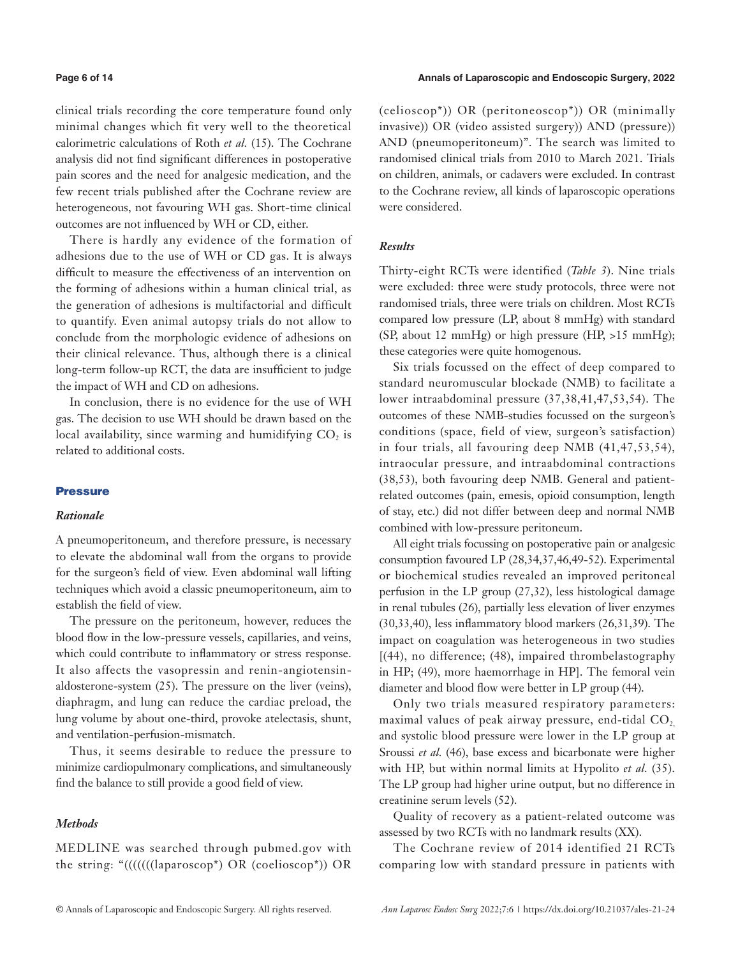clinical trials recording the core temperature found only minimal changes which fit very well to the theoretical calorimetric calculations of Roth *et al.* (15). The Cochrane analysis did not find significant differences in postoperative pain scores and the need for analgesic medication, and the few recent trials published after the Cochrane review are heterogeneous, not favouring WH gas. Short-time clinical outcomes are not influenced by WH or CD, either.

There is hardly any evidence of the formation of adhesions due to the use of WH or CD gas. It is always difficult to measure the effectiveness of an intervention on the forming of adhesions within a human clinical trial, as the generation of adhesions is multifactorial and difficult to quantify. Even animal autopsy trials do not allow to conclude from the morphologic evidence of adhesions on their clinical relevance. Thus, although there is a clinical long-term follow-up RCT, the data are insufficient to judge the impact of WH and CD on adhesions.

In conclusion, there is no evidence for the use of WH gas. The decision to use WH should be drawn based on the local availability, since warming and humidifying  $CO<sub>2</sub>$  is related to additional costs.

# **Pressure**

# *Rationale*

A pneumoperitoneum, and therefore pressure, is necessary to elevate the abdominal wall from the organs to provide for the surgeon's field of view. Even abdominal wall lifting techniques which avoid a classic pneumoperitoneum, aim to establish the field of view.

The pressure on the peritoneum, however, reduces the blood flow in the low-pressure vessels, capillaries, and veins, which could contribute to inflammatory or stress response. It also affects the vasopressin and renin-angiotensinaldosterone-system (25). The pressure on the liver (veins), diaphragm, and lung can reduce the cardiac preload, the lung volume by about one-third, provoke atelectasis, shunt, and ventilation-perfusion-mismatch.

Thus, it seems desirable to reduce the pressure to minimize cardiopulmonary complications, and simultaneously find the balance to still provide a good field of view.

# *Methods*

MEDLINE was searched through pubmed.gov with the string: "(((((((laparoscop\*) OR (coelioscop\*)) OR (celioscop\*)) OR (peritoneoscop\*)) OR (minimally invasive)) OR (video assisted surgery)) AND (pressure)) AND (pneumoperitoneum)". The search was limited to randomised clinical trials from 2010 to March 2021. Trials on children, animals, or cadavers were excluded. In contrast to the Cochrane review, all kinds of laparoscopic operations were considered.

# *Results*

Thirty-eight RCTs were identified (*Table 3*). Nine trials were excluded: three were study protocols, three were not randomised trials, three were trials on children. Most RCTs compared low pressure (LP, about 8 mmHg) with standard (SP, about 12 mmHg) or high pressure (HP, >15 mmHg); these categories were quite homogenous.

Six trials focussed on the effect of deep compared to standard neuromuscular blockade (NMB) to facilitate a lower intraabdominal pressure (37,38,41,47,53,54). The outcomes of these NMB-studies focussed on the surgeon's conditions (space, field of view, surgeon's satisfaction) in four trials, all favouring deep NMB (41,47,53,54), intraocular pressure, and intraabdominal contractions (38,53), both favouring deep NMB. General and patientrelated outcomes (pain, emesis, opioid consumption, length of stay, etc.) did not differ between deep and normal NMB combined with low-pressure peritoneum.

All eight trials focussing on postoperative pain or analgesic consumption favoured LP (28,34,37,46,49-52). Experimental or biochemical studies revealed an improved peritoneal perfusion in the LP group (27,32), less histological damage in renal tubules (26), partially less elevation of liver enzymes (30,33,40), less inflammatory blood markers (26,31,39). The impact on coagulation was heterogeneous in two studies [(44), no difference; (48), impaired thrombelastography in HP; (49), more haemorrhage in HP]. The femoral vein diameter and blood flow were better in LP group (44).

Only two trials measured respiratory parameters: maximal values of peak airway pressure, end-tidal  $CO<sub>2</sub>$ , and systolic blood pressure were lower in the LP group at Sroussi *et al.* (46), base excess and bicarbonate were higher with HP, but within normal limits at Hypolito *et al.* (35). The LP group had higher urine output, but no difference in creatinine serum levels (52).

Quality of recovery as a patient-related outcome was assessed by two RCTs with no landmark results (XX).

The Cochrane review of 2014 identified 21 RCTs comparing low with standard pressure in patients with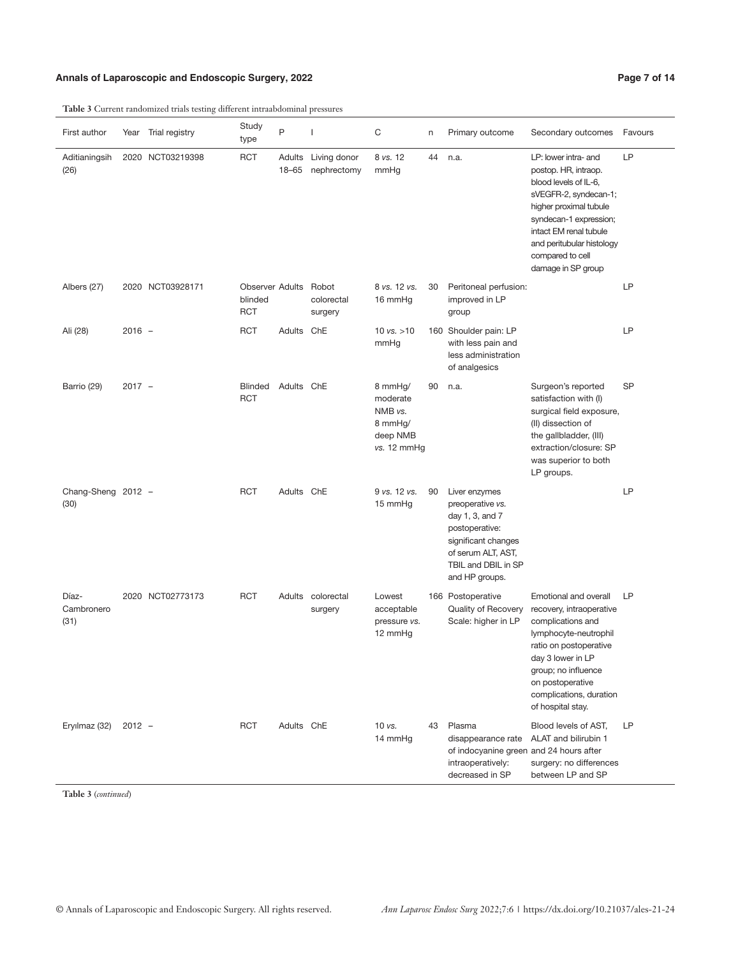# Annals of Laparoscopic and Endoscopic Surgery, 2022 **Page 7 of 14** Page 7 of 14

**Table 3** Current randomized trials testing different intraabdominal pressures

| First author                | Year     | Trial registry   | Study<br>type                                   | P                   | $\mathbf{I}$                   | $\mathbf C$                                                          | n  | Primary outcome                                                                                                                                              | Secondary outcomes                                                                                                                                                                                                                                  | Favours   |
|-----------------------------|----------|------------------|-------------------------------------------------|---------------------|--------------------------------|----------------------------------------------------------------------|----|--------------------------------------------------------------------------------------------------------------------------------------------------------------|-----------------------------------------------------------------------------------------------------------------------------------------------------------------------------------------------------------------------------------------------------|-----------|
| Aditianingsih<br>(26)       |          | 2020 NCT03219398 | <b>RCT</b>                                      | Adults<br>$18 - 65$ | Living donor<br>nephrectomy    | 8 vs. 12<br>mmHg                                                     | 44 | n.a.                                                                                                                                                         | LP: lower intra- and<br>postop. HR, intraop.<br>blood levels of IL-6,<br>sVEGFR-2, syndecan-1;<br>higher proximal tubule<br>syndecan-1 expression;<br>intact EM renal tubule<br>and peritubular histology<br>compared to cell<br>damage in SP group | LP        |
| Albers (27)                 |          | 2020 NCT03928171 | <b>Observer Adults</b><br>blinded<br><b>RCT</b> |                     | Robot<br>colorectal<br>surgery | 8 vs. 12 vs.<br>16 mmHg                                              | 30 | Peritoneal perfusion:<br>improved in LP<br>group                                                                                                             |                                                                                                                                                                                                                                                     | LP        |
| Ali (28)                    | $2016 -$ |                  | <b>RCT</b>                                      | Adults ChE          |                                | 10 $vs. > 10$<br>mmHg                                                |    | 160 Shoulder pain: LP<br>with less pain and<br>less administration<br>of analgesics                                                                          |                                                                                                                                                                                                                                                     | LP        |
| Barrio (29)                 | $2017 -$ |                  | <b>Blinded</b><br><b>RCT</b>                    | Adults ChE          |                                | 8 mmHg/<br>moderate<br>NMB vs.<br>8 mmHg/<br>deep NMB<br>vs. 12 mmHg | 90 | n.a.                                                                                                                                                         | Surgeon's reported<br>satisfaction with (I)<br>surgical field exposure,<br>(II) dissection of<br>the gallbladder, (III)<br>extraction/closure: SP<br>was superior to both<br>LP groups.                                                             | <b>SP</b> |
| Chang-Sheng 2012 -<br>(30)  |          |                  | <b>RCT</b>                                      | Adults ChE          |                                | 9 vs. 12 vs.<br>15 mmHg                                              | 90 | Liver enzymes<br>preoperative vs.<br>day 1, 3, and 7<br>postoperative:<br>significant changes<br>of serum ALT, AST,<br>TBIL and DBIL in SP<br>and HP groups. |                                                                                                                                                                                                                                                     | LP        |
| Díaz-<br>Cambronero<br>(31) |          | 2020 NCT02773173 | <b>RCT</b>                                      |                     | Adults colorectal<br>surgery   | Lowest<br>acceptable<br>pressure vs.<br>12 mmHg                      |    | 166 Postoperative<br>Quality of Recovery<br>Scale: higher in LP                                                                                              | Emotional and overall<br>recovery, intraoperative<br>complications and<br>lymphocyte-neutrophil<br>ratio on postoperative<br>day 3 lower in LP<br>group; no influence<br>on postoperative<br>complications, duration<br>of hospital stay.           | LР        |
| Eryılmaz (32)               | $2012 -$ |                  | <b>RCT</b>                                      | Adults ChE          |                                | 10 vs.<br>14 mmHg                                                    |    | 43 Plasma<br>disappearance rate<br>of indocyanine green and 24 hours after<br>intraoperatively:<br>decreased in SP                                           | Blood levels of AST,<br>ALAT and bilirubin 1<br>surgery: no differences<br>between LP and SP                                                                                                                                                        | LP        |

**Table 3** (*continued*)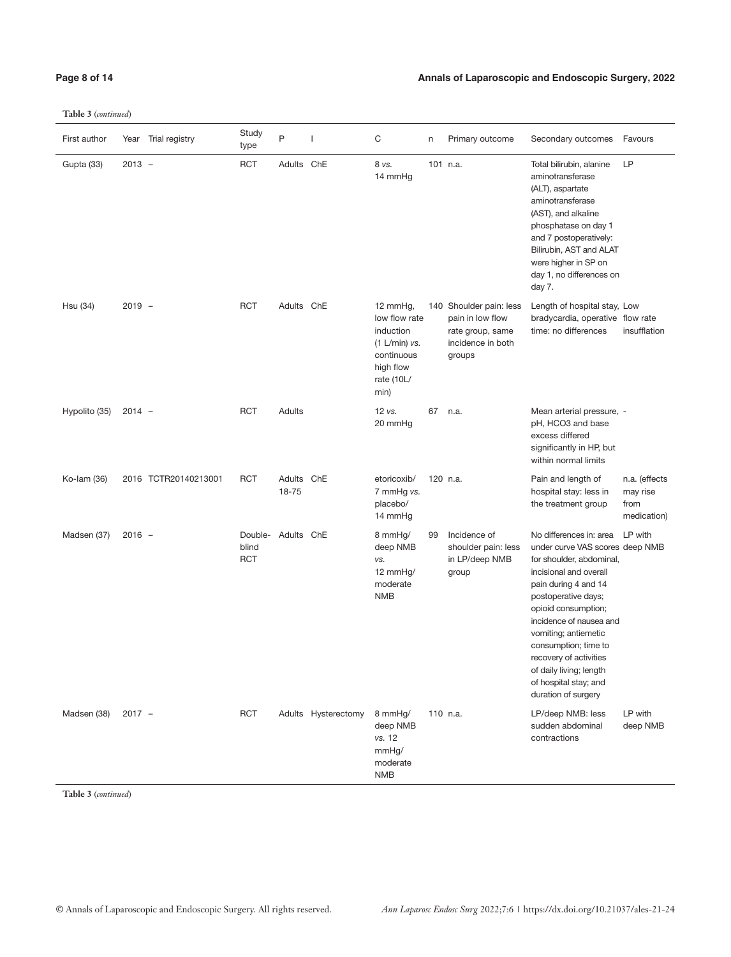**Table 3** (*continued*)

| Annals of Laparoscopic and Endoscopic Surgery, 2022 |
|-----------------------------------------------------|
|                                                     |

| First author  |          | Year Trial registry  | Study<br>type                  | P                   | $\mathbf{I}$        | $\mathsf C$                                                                                              | n  | Primary outcome                                                                                | Secondary outcomes                                                                                                                                                                                                                                                                                                                                                     | Favours                                          |
|---------------|----------|----------------------|--------------------------------|---------------------|---------------------|----------------------------------------------------------------------------------------------------------|----|------------------------------------------------------------------------------------------------|------------------------------------------------------------------------------------------------------------------------------------------------------------------------------------------------------------------------------------------------------------------------------------------------------------------------------------------------------------------------|--------------------------------------------------|
| Gupta (33)    | $2013 -$ |                      | <b>RCT</b>                     | Adults ChE          |                     | 8 vs.<br>14 mmHg                                                                                         |    | 101 n.a.                                                                                       | Total bilirubin, alanine<br>aminotransferase<br>(ALT), aspartate<br>aminotransferase<br>(AST), and alkaline<br>phosphatase on day 1<br>and 7 postoperatively:<br>Bilirubin, AST and ALAT<br>were higher in SP on<br>day 1, no differences on<br>day 7.                                                                                                                 | LP                                               |
| Hsu (34)      | $2019 -$ |                      | <b>RCT</b>                     | Adults ChE          |                     | 12 mmHg,<br>low flow rate<br>induction<br>(1 L/min) vs.<br>continuous<br>high flow<br>rate (10L/<br>min) |    | 140 Shoulder pain: less<br>pain in low flow<br>rate group, same<br>incidence in both<br>groups | Length of hospital stay, Low<br>bradycardia, operative flow rate<br>time: no differences                                                                                                                                                                                                                                                                               | insufflation                                     |
| Hypolito (35) | $2014 -$ |                      | <b>RCT</b>                     | Adults              |                     | 12 vs.<br>20 mmHg                                                                                        | 67 | n.a.                                                                                           | Mean arterial pressure, -<br>pH, HCO3 and base<br>excess differed<br>significantly in HP, but<br>within normal limits                                                                                                                                                                                                                                                  |                                                  |
| Ko-lam (36)   |          | 2016 TCTR20140213001 | <b>RCT</b>                     | Adults ChE<br>18-75 |                     | etoricoxib/<br>7 mmHg vs.<br>placebo/<br>14 mmHg                                                         |    | 120 n.a.                                                                                       | Pain and length of<br>hospital stay: less in<br>the treatment group                                                                                                                                                                                                                                                                                                    | n.a. (effects<br>may rise<br>from<br>medication) |
| Madsen (37)   | $2016 -$ |                      | Double-<br>blind<br><b>RCT</b> | Adults ChE          |                     | 8 mmHg/<br>deep NMB<br>VS.<br>12 mmHg/<br>moderate<br><b>NMB</b>                                         | 99 | Incidence of<br>shoulder pain: less<br>in LP/deep NMB<br>group                                 | No differences in: area<br>under curve VAS scores deep NMB<br>for shoulder, abdominal,<br>incisional and overall<br>pain during 4 and 14<br>postoperative days;<br>opioid consumption;<br>incidence of nausea and<br>vomiting; antiemetic<br>consumption; time to<br>recovery of activities<br>of daily living; length<br>of hospital stay; and<br>duration of surgery | LP with                                          |
| Madsen (38)   | $2017 -$ |                      | <b>RCT</b>                     |                     | Adults Hysterectomy | 8 mmHg/<br>deep NMB<br>vs. 12<br>mmHg/<br>moderate<br><b>NMB</b>                                         |    | 110 n.a.                                                                                       | LP/deep NMB: less<br>sudden abdominal<br>contractions                                                                                                                                                                                                                                                                                                                  | LP with<br>deep NMB                              |

**Table 3** (*continued*)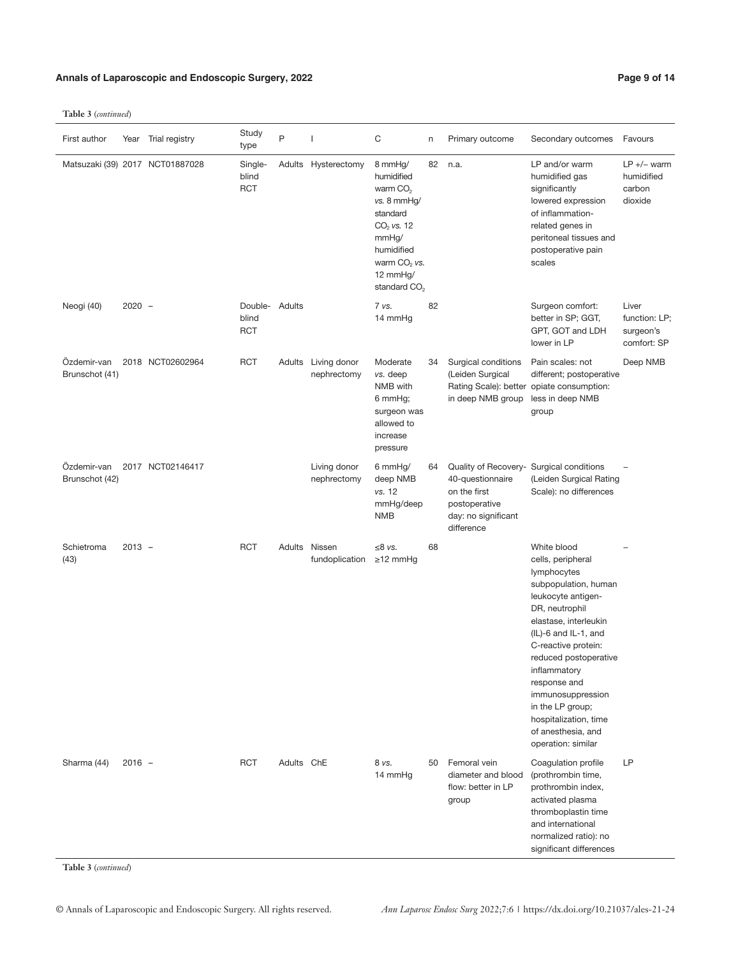# Annals of Laparoscopic and Endoscopic Surgery, 2022 **Page 9 of 14** Page 9 of 14

**Table 3** (*continued*)

 $\overline{a}$ 

| First author                  | Year     | Trial registry                  | Study<br>type                  | P             | ı                                  | С                                                                                                                                                               | n  | Primary outcome                                                                                                                    | Secondary outcomes                                                                                                                                                                                                                                                                                                                                             | Favours                                            |
|-------------------------------|----------|---------------------------------|--------------------------------|---------------|------------------------------------|-----------------------------------------------------------------------------------------------------------------------------------------------------------------|----|------------------------------------------------------------------------------------------------------------------------------------|----------------------------------------------------------------------------------------------------------------------------------------------------------------------------------------------------------------------------------------------------------------------------------------------------------------------------------------------------------------|----------------------------------------------------|
|                               |          | Matsuzaki (39) 2017 NCT01887028 | Single-<br>blind<br><b>RCT</b> |               | Adults Hysterectomy                | 8 mmHg/<br>humidified<br>warm $CO2$<br>vs. 8 mmHg/<br>standard<br>$CO2$ vs. 12<br>mmHg/<br>humidified<br>warm $CO2$ vs.<br>12 mmHg/<br>standard CO <sub>2</sub> | 82 | n.a.                                                                                                                               | LP and/or warm<br>humidified gas<br>significantly<br>lowered expression<br>of inflammation-<br>related genes in<br>peritoneal tissues and<br>postoperative pain<br>scales                                                                                                                                                                                      | $LP +/-$ warm<br>humidified<br>carbon<br>dioxide   |
| Neogi (40)                    | $2020 -$ |                                 | Double-<br>blind<br><b>RCT</b> | Adults        |                                    | 7 vs.<br>14 mmHg                                                                                                                                                | 82 |                                                                                                                                    | Surgeon comfort:<br>better in SP; GGT,<br>GPT, GOT and LDH<br>lower in LP                                                                                                                                                                                                                                                                                      | Liver<br>function: LP;<br>surgeon's<br>comfort: SP |
| Özdemir-van<br>Brunschot (41) |          | 2018 NCT02602964                | <b>RCT</b>                     |               | Adults Living donor<br>nephrectomy | Moderate<br>vs. deep<br>NMB with<br>6 mmHg;<br>surgeon was<br>allowed to<br>increase<br>pressure                                                                | 34 | Surgical conditions<br>(Leiden Surgical<br>in deep NMB group                                                                       | Pain scales: not<br>different; postoperative<br>Rating Scale): better opiate consumption:<br>less in deep NMB<br>group                                                                                                                                                                                                                                         | Deep NMB                                           |
| Özdemir-van<br>Brunschot (42) |          | 2017 NCT02146417                |                                |               | Living donor<br>nephrectomy        | 6 mmHg/<br>deep NMB<br>vs. 12<br>mmHg/deep<br><b>NMB</b>                                                                                                        | 64 | Quality of Recovery- Surgical conditions<br>40-questionnaire<br>on the first<br>postoperative<br>day: no significant<br>difference | (Leiden Surgical Rating<br>Scale): no differences                                                                                                                                                                                                                                                                                                              |                                                    |
| Schietroma<br>(43)            | $2013 -$ |                                 | <b>RCT</b>                     | Adults Nissen | fundoplication                     | ≤8 $vs.$<br>$\geq$ 12 mmHg                                                                                                                                      | 68 |                                                                                                                                    | White blood<br>cells, peripheral<br>lymphocytes<br>subpopulation, human<br>leukocyte antigen-<br>DR, neutrophil<br>elastase, interleukin<br>(IL)-6 and IL-1, and<br>C-reactive protein:<br>reduced postoperative<br>inflammatory<br>response and<br>immunosuppression<br>in the LP group;<br>hospitalization, time<br>of anesthesia, and<br>operation: similar |                                                    |
| Sharma (44)                   | $2016 -$ |                                 | <b>RCT</b>                     | Adults ChE    |                                    | 8 vs.<br>14 mmHg                                                                                                                                                | 50 | Femoral vein<br>diameter and blood<br>flow: better in LP<br>group                                                                  | Coagulation profile<br>(prothrombin time,<br>prothrombin index,<br>activated plasma<br>thromboplastin time<br>and international<br>normalized ratio): no<br>significant differences                                                                                                                                                                            | LP                                                 |

**Table 3** (*continued*)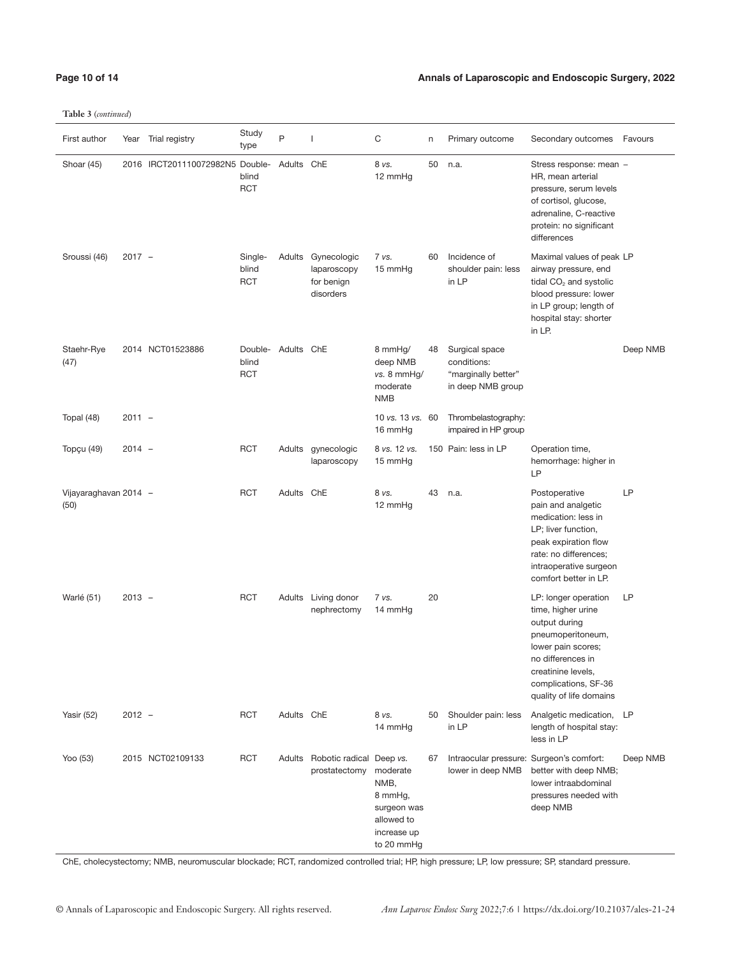**Table 3** (*continued*)

| First author                  |          | Year Trial registry             | Study<br>type                  | $\mathsf{P}$ | 1                                                     | C                                                                                     | n  | Primary outcome                                                           | Secondary outcomes                                                                                                                                                                                   | Favours  |
|-------------------------------|----------|---------------------------------|--------------------------------|--------------|-------------------------------------------------------|---------------------------------------------------------------------------------------|----|---------------------------------------------------------------------------|------------------------------------------------------------------------------------------------------------------------------------------------------------------------------------------------------|----------|
| Shoar (45)                    |          | 2016 IRCT201110072982N5 Double- | blind<br><b>RCT</b>            | Adults ChE   |                                                       | 8 vs.<br>12 mmHg                                                                      | 50 | n.a.                                                                      | Stress response: mean -<br>HR, mean arterial<br>pressure, serum levels<br>of cortisol, glucose,<br>adrenaline, C-reactive<br>protein: no significant<br>differences                                  |          |
| Sroussi (46)                  | $2017 -$ |                                 | Single-<br>blind<br><b>RCT</b> | Adults       | Gynecologic<br>laparoscopy<br>for benign<br>disorders | 7 vs.<br>15 mmHq                                                                      | 60 | Incidence of<br>shoulder pain: less<br>in LP                              | Maximal values of peak LP<br>airway pressure, end<br>tidal CO <sub>2</sub> and systolic<br>blood pressure: lower<br>in LP group; length of<br>hospital stay: shorter<br>in LP.                       |          |
| Staehr-Rye<br>(47)            |          | 2014 NCT01523886                | Double-<br>blind<br><b>RCT</b> | Adults ChE   |                                                       | 8 mmHg/<br>deep NMB<br>vs. 8 mmHq/<br>moderate<br><b>NMB</b>                          | 48 | Surgical space<br>conditions:<br>"marginally better"<br>in deep NMB group |                                                                                                                                                                                                      | Deep NMB |
| Topal (48)                    | $2011 -$ |                                 |                                |              |                                                       | 10 vs. 13 vs. 60<br>16 mmHg                                                           |    | Thrombelastography:<br>impaired in HP group                               |                                                                                                                                                                                                      |          |
| Topçu (49)                    | $2014 -$ |                                 | <b>RCT</b>                     |              | Adults gynecologic<br>laparoscopy                     | 8 vs. 12 vs.<br>15 mmHg                                                               |    | 150 Pain: less in LP                                                      | Operation time,<br>hemorrhage: higher in<br>LP                                                                                                                                                       |          |
| Vijayaraghavan 2014 -<br>(50) |          |                                 | <b>RCT</b>                     | Adults ChE   |                                                       | 8 vs.<br>12 mmHg                                                                      | 43 | n.a.                                                                      | Postoperative<br>pain and analgetic<br>medication: less in<br>LP; liver function,<br>peak expiration flow<br>rate: no differences;<br>intraoperative surgeon<br>comfort better in LP.                | LP       |
| Warlé (51)                    | $2013 -$ |                                 | <b>RCT</b>                     |              | Adults Living donor<br>nephrectomy                    | 7 vs.<br>14 mmHq                                                                      | 20 |                                                                           | LP: longer operation<br>time, higher urine<br>output during<br>pneumoperitoneum,<br>lower pain scores;<br>no differences in<br>creatinine levels,<br>complications, SF-36<br>quality of life domains | LP       |
| Yasir (52)                    | $2012 -$ |                                 | <b>RCT</b>                     | Adults ChE   |                                                       | 8 vs.<br>14 mmHg                                                                      | 50 | Shoulder pain: less<br>in LP                                              | Analgetic medication, LP<br>length of hospital stay:<br>less in LP                                                                                                                                   |          |
| Yoo (53)                      |          | 2015 NCT02109133                | <b>RCT</b>                     | Adults       | Robotic radical Deep vs.<br>prostatectomy             | moderate<br>NMB,<br>8 mmHg,<br>surgeon was<br>allowed to<br>increase up<br>to 20 mmHg | 67 | Intraocular pressure: Surgeon's comfort:<br>lower in deep NMB             | better with deep NMB;<br>lower intraabdominal<br>pressures needed with<br>deep NMB                                                                                                                   | Deep NMB |

ChE, cholecystectomy; NMB, neuromuscular blockade; RCT, randomized controlled trial; HP, high pressure; LP, low pressure; SP, standard pressure.

# **Page 10 of 14 Annals of Laparoscopic and Endoscopic Surgery, 2022**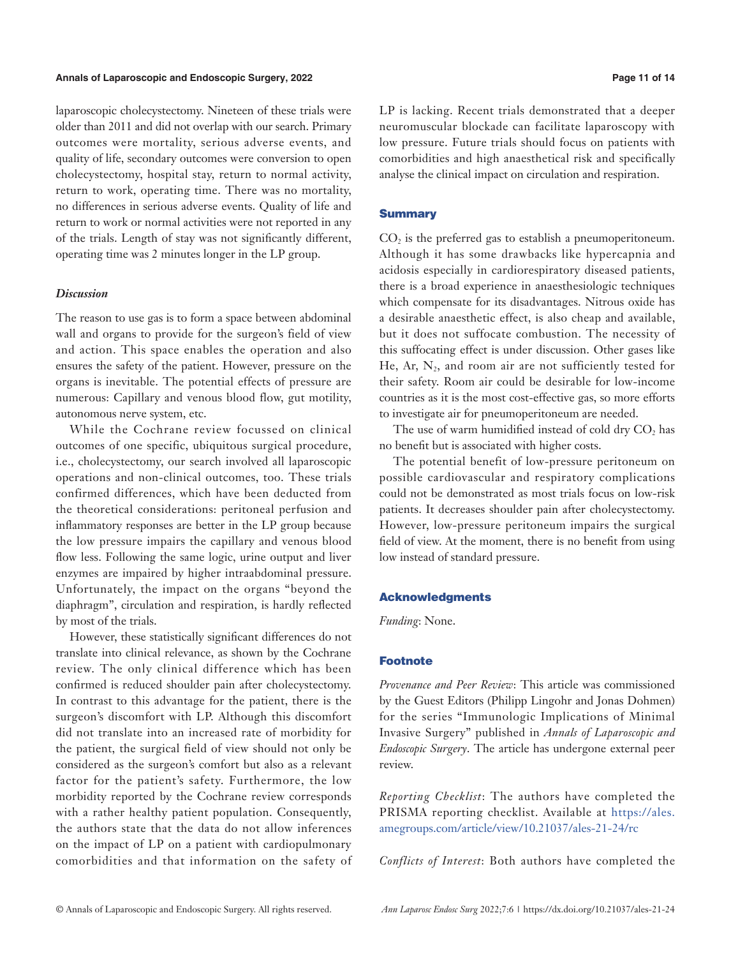# **Annals of Laparoscopic and Endoscopic Surgery, 2022 Page 11 of 14**

laparoscopic cholecystectomy. Nineteen of these trials were older than 2011 and did not overlap with our search. Primary outcomes were mortality, serious adverse events, and quality of life, secondary outcomes were conversion to open cholecystectomy, hospital stay, return to normal activity, return to work, operating time. There was no mortality, no differences in serious adverse events. Quality of life and return to work or normal activities were not reported in any of the trials. Length of stay was not significantly different, operating time was 2 minutes longer in the LP group.

# *Discussion*

The reason to use gas is to form a space between abdominal wall and organs to provide for the surgeon's field of view and action. This space enables the operation and also ensures the safety of the patient. However, pressure on the organs is inevitable. The potential effects of pressure are numerous: Capillary and venous blood flow, gut motility, autonomous nerve system, etc.

While the Cochrane review focussed on clinical outcomes of one specific, ubiquitous surgical procedure, i.e., cholecystectomy, our search involved all laparoscopic operations and non-clinical outcomes, too. These trials confirmed differences, which have been deducted from the theoretical considerations: peritoneal perfusion and inflammatory responses are better in the LP group because the low pressure impairs the capillary and venous blood flow less. Following the same logic, urine output and liver enzymes are impaired by higher intraabdominal pressure. Unfortunately, the impact on the organs "beyond the diaphragm", circulation and respiration, is hardly reflected by most of the trials.

However, these statistically significant differences do not translate into clinical relevance, as shown by the Cochrane review. The only clinical difference which has been confirmed is reduced shoulder pain after cholecystectomy. In contrast to this advantage for the patient, there is the surgeon's discomfort with LP. Although this discomfort did not translate into an increased rate of morbidity for the patient, the surgical field of view should not only be considered as the surgeon's comfort but also as a relevant factor for the patient's safety. Furthermore, the low morbidity reported by the Cochrane review corresponds with a rather healthy patient population. Consequently, the authors state that the data do not allow inferences on the impact of LP on a patient with cardiopulmonary comorbidities and that information on the safety of LP is lacking. Recent trials demonstrated that a deeper neuromuscular blockade can facilitate laparoscopy with low pressure. Future trials should focus on patients with comorbidities and high anaesthetical risk and specifically analyse the clinical impact on circulation and respiration.

# **Summary**

CO<sub>2</sub> is the preferred gas to establish a pneumoperitoneum. Although it has some drawbacks like hypercapnia and acidosis especially in cardiorespiratory diseased patients, there is a broad experience in anaesthesiologic techniques which compensate for its disadvantages. Nitrous oxide has a desirable anaesthetic effect, is also cheap and available, but it does not suffocate combustion. The necessity of this suffocating effect is under discussion. Other gases like He, Ar,  $N_2$ , and room air are not sufficiently tested for their safety. Room air could be desirable for low-income countries as it is the most cost-effective gas, so more efforts to investigate air for pneumoperitoneum are needed.

The use of warm humidified instead of cold dry CO<sub>2</sub> has no benefit but is associated with higher costs.

The potential benefit of low-pressure peritoneum on possible cardiovascular and respiratory complications could not be demonstrated as most trials focus on low-risk patients. It decreases shoulder pain after cholecystectomy. However, low-pressure peritoneum impairs the surgical field of view. At the moment, there is no benefit from using low instead of standard pressure.

### Acknowledgments

*Funding*: None.

# Footnote

*Provenance and Peer Review*: This article was commissioned by the Guest Editors (Philipp Lingohr and Jonas Dohmen) for the series "Immunologic Implications of Minimal Invasive Surgery" published in *Annals of Laparoscopic and Endoscopic Surgery*. The article has undergone external peer review.

*Reporting Checklist*: The authors have completed the PRISMA reporting checklist. Available at [https://ales.](https://ales.amegroups.com/article/view/10.21037/ales-21-24/rc) [amegroups.com/article/view/10.21037/ales-21-24/rc](https://ales.amegroups.com/article/view/10.21037/ales-21-24/rc)

*Conflicts of Interest*: Both authors have completed the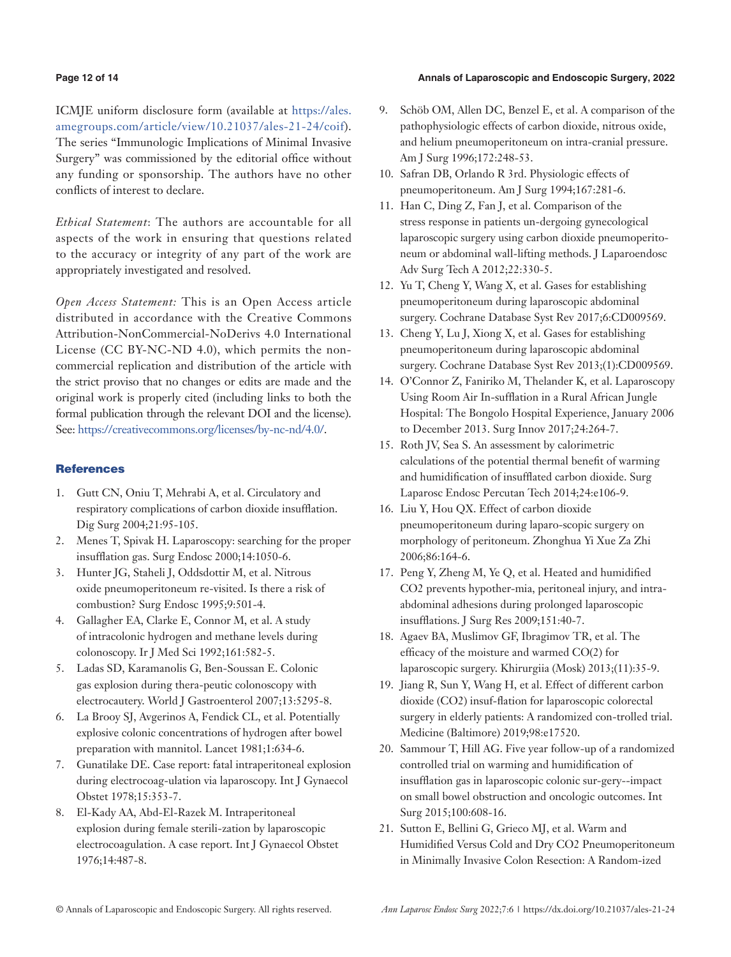# **Page 12 of 14 Annals of Laparoscopic and Endoscopic Surgery, 2022**

ICMJE uniform disclosure form (available at [https://ales.](https://ales.amegroups.com/article/view/10.21037/ales-21-24/coif) [amegroups.com/article/view/10.21037/ales-21-24/coif\)](https://ales.amegroups.com/article/view/10.21037/ales-21-24/coif). The series "Immunologic Implications of Minimal Invasive Surgery" was commissioned by the editorial office without any funding or sponsorship. The authors have no other conflicts of interest to declare.

*Ethical Statement*: The authors are accountable for all aspects of the work in ensuring that questions related to the accuracy or integrity of any part of the work are appropriately investigated and resolved.

*Open Access Statement:* This is an Open Access article distributed in accordance with the Creative Commons Attribution-NonCommercial-NoDerivs 4.0 International License (CC BY-NC-ND 4.0), which permits the noncommercial replication and distribution of the article with the strict proviso that no changes or edits are made and the original work is properly cited (including links to both the formal publication through the relevant DOI and the license). See: [https://creativecommons.org/licenses/by-nc-nd/4.0/.](https://creativecommons.org/licenses/by-nc-nd/4.0/)

# **References**

- 1. Gutt CN, Oniu T, Mehrabi A, et al. Circulatory and respiratory complications of carbon dioxide insufflation. Dig Surg 2004;21:95-105.
- 2. Menes T, Spivak H. Laparoscopy: searching for the proper insufflation gas. Surg Endosc 2000;14:1050-6.
- 3. Hunter JG, Staheli J, Oddsdottir M, et al. Nitrous oxide pneumoperitoneum re-visited. Is there a risk of combustion? Surg Endosc 1995;9:501-4.
- 4. Gallagher EA, Clarke E, Connor M, et al. A study of intracolonic hydrogen and methane levels during colonoscopy. Ir J Med Sci 1992;161:582-5.
- 5. Ladas SD, Karamanolis G, Ben-Soussan E. Colonic gas explosion during thera-peutic colonoscopy with electrocautery. World J Gastroenterol 2007;13:5295-8.
- 6. La Brooy SJ, Avgerinos A, Fendick CL, et al. Potentially explosive colonic concentrations of hydrogen after bowel preparation with mannitol. Lancet 1981;1:634-6.
- 7. Gunatilake DE. Case report: fatal intraperitoneal explosion during electrocoag-ulation via laparoscopy. Int J Gynaecol Obstet 1978;15:353-7.
- 8. El-Kady AA, Abd-El-Razek M. Intraperitoneal explosion during female sterili-zation by laparoscopic electrocoagulation. A case report. Int J Gynaecol Obstet 1976;14:487-8.
- 9. Schöb OM, Allen DC, Benzel E, et al. A comparison of the pathophysiologic effects of carbon dioxide, nitrous oxide, and helium pneumoperitoneum on intra-cranial pressure. Am J Surg 1996;172:248-53.
- 10. Safran DB, Orlando R 3rd. Physiologic effects of pneumoperitoneum. Am J Surg 1994;167:281-6.
- 11. Han C, Ding Z, Fan J, et al. Comparison of the stress response in patients un-dergoing gynecological laparoscopic surgery using carbon dioxide pneumoperitoneum or abdominal wall-lifting methods. J Laparoendosc Adv Surg Tech A 2012;22:330-5.
- 12. Yu T, Cheng Y, Wang X, et al. Gases for establishing pneumoperitoneum during laparoscopic abdominal surgery. Cochrane Database Syst Rev 2017;6:CD009569.
- 13. Cheng Y, Lu J, Xiong X, et al. Gases for establishing pneumoperitoneum during laparoscopic abdominal surgery. Cochrane Database Syst Rev 2013;(1):CD009569.
- 14. O'Connor Z, Faniriko M, Thelander K, et al. Laparoscopy Using Room Air In-sufflation in a Rural African Jungle Hospital: The Bongolo Hospital Experience, January 2006 to December 2013. Surg Innov 2017;24:264-7.
- 15. Roth JV, Sea S. An assessment by calorimetric calculations of the potential thermal benefit of warming and humidification of insufflated carbon dioxide. Surg Laparosc Endosc Percutan Tech 2014;24:e106-9.
- 16. Liu Y, Hou QX. Effect of carbon dioxide pneumoperitoneum during laparo-scopic surgery on morphology of peritoneum. Zhonghua Yi Xue Za Zhi 2006;86:164-6.
- 17. Peng Y, Zheng M, Ye Q, et al. Heated and humidified CO2 prevents hypother-mia, peritoneal injury, and intraabdominal adhesions during prolonged laparoscopic insufflations. J Surg Res 2009;151:40-7.
- 18. Agaev BA, Muslimov GF, Ibragimov TR, et al. The efficacy of the moisture and warmed CO(2) for laparoscopic surgery. Khirurgiia (Mosk) 2013;(11):35-9.
- 19. Jiang R, Sun Y, Wang H, et al. Effect of different carbon dioxide (CO2) insuf-flation for laparoscopic colorectal surgery in elderly patients: A randomized con-trolled trial. Medicine (Baltimore) 2019;98:e17520.
- 20. Sammour T, Hill AG. Five year follow-up of a randomized controlled trial on warming and humidification of insufflation gas in laparoscopic colonic sur-gery--impact on small bowel obstruction and oncologic outcomes. Int Surg 2015;100:608-16.
- 21. Sutton E, Bellini G, Grieco MJ, et al. Warm and Humidified Versus Cold and Dry CO2 Pneumoperitoneum in Minimally Invasive Colon Resection: A Random-ized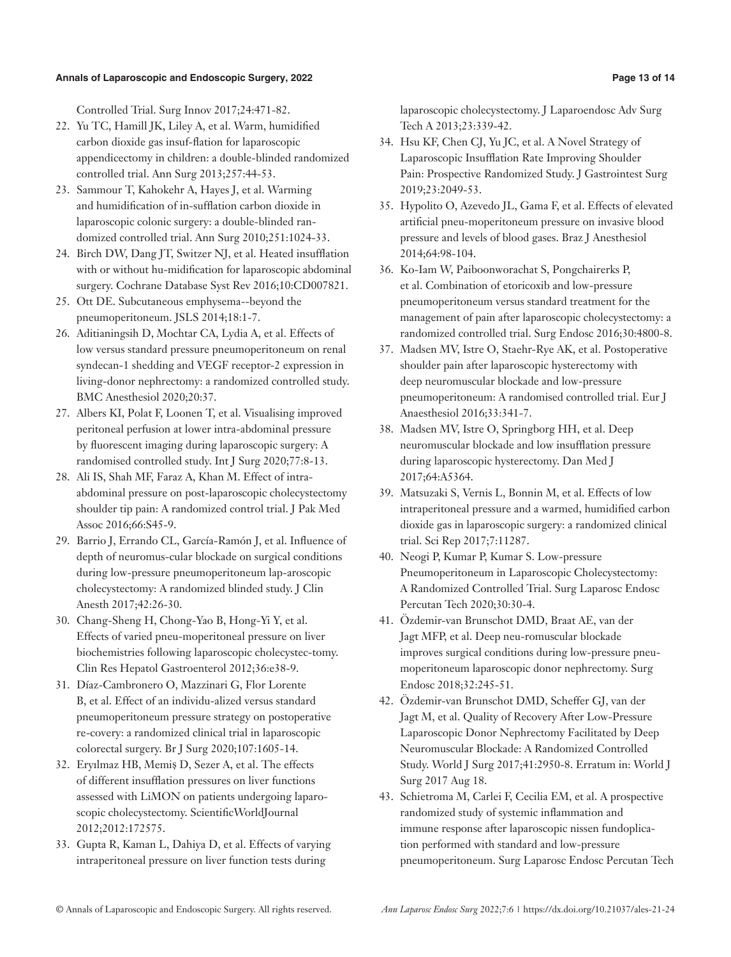Controlled Trial. Surg Innov 2017;24:471-82.

- 22. Yu TC, Hamill JK, Liley A, et al. Warm, humidified carbon dioxide gas insuf-flation for laparoscopic appendicectomy in children: a double-blinded randomized controlled trial. Ann Surg 2013;257:44-53.
- 23. Sammour T, Kahokehr A, Hayes J, et al. Warming and humidification of in-sufflation carbon dioxide in laparoscopic colonic surgery: a double-blinded randomized controlled trial. Ann Surg 2010;251:1024-33.
- 24. Birch DW, Dang JT, Switzer NJ, et al. Heated insufflation with or without hu-midification for laparoscopic abdominal surgery. Cochrane Database Syst Rev 2016;10:CD007821.
- 25. Ott DE. Subcutaneous emphysema--beyond the pneumoperitoneum. JSLS 2014;18:1-7.
- 26. Aditianingsih D, Mochtar CA, Lydia A, et al. Effects of low versus standard pressure pneumoperitoneum on renal syndecan-1 shedding and VEGF receptor-2 expression in living-donor nephrectomy: a randomized controlled study. BMC Anesthesiol 2020;20:37.
- 27. Albers KI, Polat F, Loonen T, et al. Visualising improved peritoneal perfusion at lower intra-abdominal pressure by fluorescent imaging during laparoscopic surgery: A randomised controlled study. Int J Surg 2020;77:8-13.
- 28. Ali IS, Shah MF, Faraz A, Khan M. Effect of intraabdominal pressure on post-laparoscopic cholecystectomy shoulder tip pain: A randomized control trial. J Pak Med Assoc 2016;66:S45-9.
- 29. Barrio J, Errando CL, García-Ramón J, et al. Influence of depth of neuromus-cular blockade on surgical conditions during low-pressure pneumoperitoneum lap-aroscopic cholecystectomy: A randomized blinded study. J Clin Anesth 2017;42:26-30.
- 30. Chang-Sheng H, Chong-Yao B, Hong-Yi Y, et al. Effects of varied pneu-moperitoneal pressure on liver biochemistries following laparoscopic cholecystec-tomy. Clin Res Hepatol Gastroenterol 2012;36:e38-9.
- 31. Díaz-Cambronero O, Mazzinari G, Flor Lorente B, et al. Effect of an individu-alized versus standard pneumoperitoneum pressure strategy on postoperative re-covery: a randomized clinical trial in laparoscopic colorectal surgery. Br J Surg 2020;107:1605-14.
- 32. Eryılmaz HB, Memiş D, Sezer A, et al. The effects of different insufflation pressures on liver functions assessed with LiMON on patients undergoing laparoscopic cholecystectomy. ScientificWorldJournal 2012;2012:172575.
- 33. Gupta R, Kaman L, Dahiya D, et al. Effects of varying intraperitoneal pressure on liver function tests during

laparoscopic cholecystectomy. J Laparoendosc Adv Surg Tech A 2013;23:339-42.

- 34. Hsu KF, Chen CJ, Yu JC, et al. A Novel Strategy of Laparoscopic Insufflation Rate Improving Shoulder Pain: Prospective Randomized Study. J Gastrointest Surg 2019;23:2049-53.
- 35. Hypolito O, Azevedo JL, Gama F, et al. Effects of elevated artificial pneu-moperitoneum pressure on invasive blood pressure and levels of blood gases. Braz J Anesthesiol 2014;64:98-104.
- 36. Ko-Iam W, Paiboonworachat S, Pongchairerks P, et al. Combination of etoricoxib and low-pressure pneumoperitoneum versus standard treatment for the management of pain after laparoscopic cholecystectomy: a randomized controlled trial. Surg Endosc 2016;30:4800-8.
- 37. Madsen MV, Istre O, Staehr-Rye AK, et al. Postoperative shoulder pain after laparoscopic hysterectomy with deep neuromuscular blockade and low-pressure pneumoperitoneum: A randomised controlled trial. Eur J Anaesthesiol 2016;33:341-7.
- 38. Madsen MV, Istre O, Springborg HH, et al. Deep neuromuscular blockade and low insufflation pressure during laparoscopic hysterectomy. Dan Med J 2017;64:A5364.
- 39. Matsuzaki S, Vernis L, Bonnin M, et al. Effects of low intraperitoneal pressure and a warmed, humidified carbon dioxide gas in laparoscopic surgery: a randomized clinical trial. Sci Rep 2017;7:11287.
- 40. Neogi P, Kumar P, Kumar S. Low-pressure Pneumoperitoneum in Laparoscopic Cholecystectomy: A Randomized Controlled Trial. Surg Laparosc Endosc Percutan Tech 2020;30:30-4.
- 41. Özdemir-van Brunschot DMD, Braat AE, van der Jagt MFP, et al. Deep neu-romuscular blockade improves surgical conditions during low-pressure pneumoperitoneum laparoscopic donor nephrectomy. Surg Endosc 2018;32:245-51.
- 42. Özdemir-van Brunschot DMD, Scheffer GJ, van der Jagt M, et al. Quality of Recovery After Low-Pressure Laparoscopic Donor Nephrectomy Facilitated by Deep Neuromuscular Blockade: A Randomized Controlled Study. World J Surg 2017;41:2950-8. Erratum in: World J Surg 2017 Aug 18.
- 43. Schietroma M, Carlei F, Cecilia EM, et al. A prospective randomized study of systemic inflammation and immune response after laparoscopic nissen fundoplication performed with standard and low-pressure pneumoperitoneum. Surg Laparosc Endosc Percutan Tech